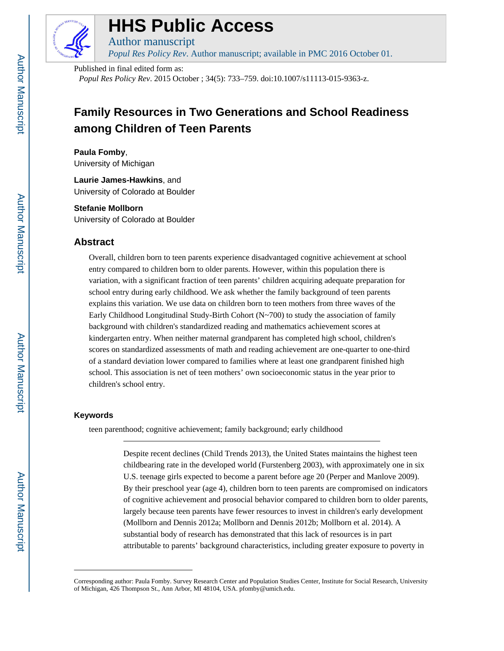

### **HHS Public Access**

Author manuscript *Popul Res Policy Rev*. Author manuscript; available in PMC 2016 October 01.

Published in final edited form as: *Popul Res Policy Rev*. 2015 October ; 34(5): 733–759. doi:10.1007/s11113-015-9363-z.

### **Family Resources in Two Generations and School Readiness among Children of Teen Parents**

**Paula Fomby**, University of Michigan

**Laurie James-Hawkins**, and University of Colorado at Boulder

**Stefanie Mollborn** University of Colorado at Boulder

#### **Abstract**

Overall, children born to teen parents experience disadvantaged cognitive achievement at school entry compared to children born to older parents. However, within this population there is variation, with a significant fraction of teen parents' children acquiring adequate preparation for school entry during early childhood. We ask whether the family background of teen parents explains this variation. We use data on children born to teen mothers from three waves of the Early Childhood Longitudinal Study-Birth Cohort (N~700) to study the association of family background with children's standardized reading and mathematics achievement scores at kindergarten entry. When neither maternal grandparent has completed high school, children's scores on standardized assessments of math and reading achievement are one-quarter to one-third of a standard deviation lower compared to families where at least one grandparent finished high school. This association is net of teen mothers' own socioeconomic status in the year prior to children's school entry.

#### **Keywords**

teen parenthood; cognitive achievement; family background; early childhood

Despite recent declines (Child Trends 2013), the United States maintains the highest teen childbearing rate in the developed world (Furstenberg 2003), with approximately one in six U.S. teenage girls expected to become a parent before age 20 (Perper and Manlove 2009). By their preschool year (age 4), children born to teen parents are compromised on indicators of cognitive achievement and prosocial behavior compared to children born to older parents, largely because teen parents have fewer resources to invest in children's early development (Mollborn and Dennis 2012a; Mollborn and Dennis 2012b; Mollborn et al. 2014). A substantial body of research has demonstrated that this lack of resources is in part attributable to parents' background characteristics, including greater exposure to poverty in

Corresponding author: Paula Fomby. Survey Research Center and Population Studies Center, Institute for Social Research, University of Michigan, 426 Thompson St., Ann Arbor, MI 48104, USA. pfomby@umich.edu.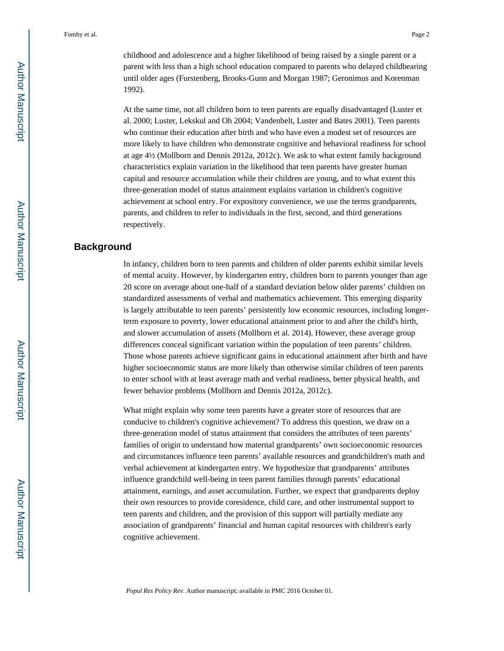childhood and adolescence and a higher likelihood of being raised by a single parent or a parent with less than a high school education compared to parents who delayed childbearing until older ages (Furstenberg, Brooks-Gunn and Morgan 1987; Geronimus and Korenman 1992).

At the same time, not all children born to teen parents are equally disadvantaged (Luster et al. 2000; Luster, Lekskul and Oh 2004; Vandenbelt, Luster and Bates 2001). Teen parents who continue their education after birth and who have even a modest set of resources are more likely to have children who demonstrate cognitive and behavioral readiness for school at age 4½ (Mollborn and Dennis 2012a, 2012c). We ask to what extent family background characteristics explain variation in the likelihood that teen parents have greater human capital and resource accumulation while their children are young, and to what extent this three-generation model of status attainment explains variation in children's cognitive achievement at school entry. For expository convenience, we use the terms grandparents, parents, and children to refer to individuals in the first, second, and third generations respectively.

#### **Background**

In infancy, children born to teen parents and children of older parents exhibit similar levels of mental acuity. However, by kindergarten entry, children born to parents younger than age 20 score on average about one-half of a standard deviation below older parents' children on standardized assessments of verbal and mathematics achievement. This emerging disparity is largely attributable to teen parents' persistently low economic resources, including longerterm exposure to poverty, lower educational attainment prior to and after the child's birth, and slower accumulation of assets (Mollborn et al. 2014). However, these average group differences conceal significant variation within the population of teen parents' children. Those whose parents achieve significant gains in educational attainment after birth and have higher socioeconomic status are more likely than otherwise similar children of teen parents to enter school with at least average math and verbal readiness, better physical health, and fewer behavior problems (Mollborn and Dennis 2012a, 2012c).

What might explain why some teen parents have a greater store of resources that are conducive to children's cognitive achievement? To address this question, we draw on a three-generation model of status attainment that considers the attributes of teen parents' families of origin to understand how maternal grandparents' own socioeconomic resources and circumstances influence teen parents' available resources and grandchildren's math and verbal achievement at kindergarten entry. We hypothesize that grandparents' attributes influence grandchild well-being in teen parent families through parents' educational attainment, earnings, and asset accumulation. Further, we expect that grandparents deploy their own resources to provide coresidence, child care, and other instrumental support to teen parents and children, and the provision of this support will partially mediate any association of grandparents' financial and human capital resources with children's early cognitive achievement.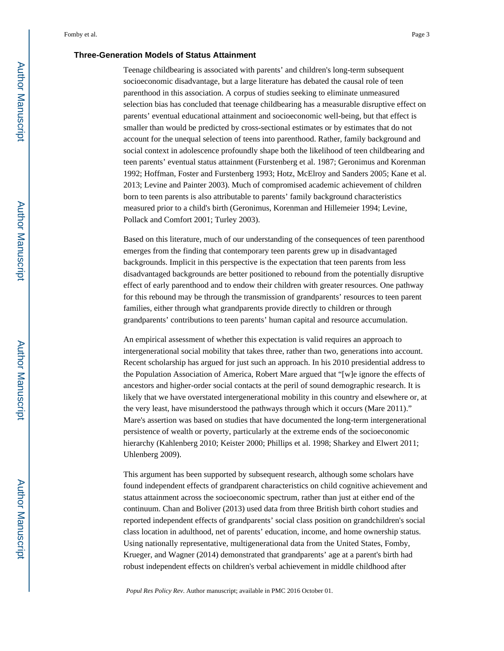#### **Three-Generation Models of Status Attainment**

Teenage childbearing is associated with parents' and children's long-term subsequent socioeconomic disadvantage, but a large literature has debated the causal role of teen parenthood in this association. A corpus of studies seeking to eliminate unmeasured selection bias has concluded that teenage childbearing has a measurable disruptive effect on parents' eventual educational attainment and socioeconomic well-being, but that effect is smaller than would be predicted by cross-sectional estimates or by estimates that do not account for the unequal selection of teens into parenthood. Rather, family background and social context in adolescence profoundly shape both the likelihood of teen childbearing and teen parents' eventual status attainment (Furstenberg et al. 1987; Geronimus and Korenman 1992; Hoffman, Foster and Furstenberg 1993; Hotz, McElroy and Sanders 2005; Kane et al. 2013; Levine and Painter 2003). Much of compromised academic achievement of children born to teen parents is also attributable to parents' family background characteristics measured prior to a child's birth (Geronimus, Korenman and Hillemeier 1994; Levine, Pollack and Comfort 2001; Turley 2003).

Based on this literature, much of our understanding of the consequences of teen parenthood emerges from the finding that contemporary teen parents grew up in disadvantaged backgrounds. Implicit in this perspective is the expectation that teen parents from less disadvantaged backgrounds are better positioned to rebound from the potentially disruptive effect of early parenthood and to endow their children with greater resources. One pathway for this rebound may be through the transmission of grandparents' resources to teen parent families, either through what grandparents provide directly to children or through grandparents' contributions to teen parents' human capital and resource accumulation.

An empirical assessment of whether this expectation is valid requires an approach to intergenerational social mobility that takes three, rather than two, generations into account. Recent scholarship has argued for just such an approach. In his 2010 presidential address to the Population Association of America, Robert Mare argued that "[w]e ignore the effects of ancestors and higher-order social contacts at the peril of sound demographic research. It is likely that we have overstated intergenerational mobility in this country and elsewhere or, at the very least, have misunderstood the pathways through which it occurs (Mare 2011)." Mare's assertion was based on studies that have documented the long-term intergenerational persistence of wealth or poverty, particularly at the extreme ends of the socioeconomic hierarchy (Kahlenberg 2010; Keister 2000; Phillips et al. 1998; Sharkey and Elwert 2011; Uhlenberg 2009).

This argument has been supported by subsequent research, although some scholars have found independent effects of grandparent characteristics on child cognitive achievement and status attainment across the socioeconomic spectrum, rather than just at either end of the continuum. Chan and Boliver (2013) used data from three British birth cohort studies and reported independent effects of grandparents' social class position on grandchildren's social class location in adulthood, net of parents' education, income, and home ownership status. Using nationally representative, multigenerational data from the United States, Fomby, Krueger, and Wagner (2014) demonstrated that grandparents' age at a parent's birth had robust independent effects on children's verbal achievement in middle childhood after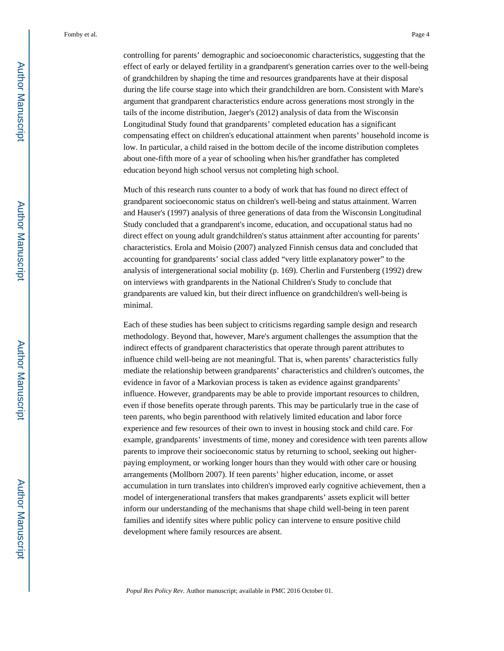controlling for parents' demographic and socioeconomic characteristics, suggesting that the effect of early or delayed fertility in a grandparent's generation carries over to the well-being of grandchildren by shaping the time and resources grandparents have at their disposal during the life course stage into which their grandchildren are born. Consistent with Mare's argument that grandparent characteristics endure across generations most strongly in the tails of the income distribution, Jaeger's (2012) analysis of data from the Wisconsin Longitudinal Study found that grandparents' completed education has a significant compensating effect on children's educational attainment when parents' household income is low. In particular, a child raised in the bottom decile of the income distribution completes about one-fifth more of a year of schooling when his/her grandfather has completed education beyond high school versus not completing high school.

Much of this research runs counter to a body of work that has found no direct effect of grandparent socioeconomic status on children's well-being and status attainment. Warren and Hauser's (1997) analysis of three generations of data from the Wisconsin Longitudinal Study concluded that a grandparent's income, education, and occupational status had no direct effect on young adult grandchildren's status attainment after accounting for parents' characteristics. Erola and Moisio (2007) analyzed Finnish census data and concluded that accounting for grandparents' social class added "very little explanatory power" to the analysis of intergenerational social mobility (p. 169). Cherlin and Furstenberg (1992) drew on interviews with grandparents in the National Children's Study to conclude that grandparents are valued kin, but their direct influence on grandchildren's well-being is minimal.

Each of these studies has been subject to criticisms regarding sample design and research methodology. Beyond that, however, Mare's argument challenges the assumption that the indirect effects of grandparent characteristics that operate through parent attributes to influence child well-being are not meaningful. That is, when parents' characteristics fully mediate the relationship between grandparents' characteristics and children's outcomes, the evidence in favor of a Markovian process is taken as evidence against grandparents' influence. However, grandparents may be able to provide important resources to children, even if those benefits operate through parents. This may be particularly true in the case of teen parents, who begin parenthood with relatively limited education and labor force experience and few resources of their own to invest in housing stock and child care. For example, grandparents' investments of time, money and coresidence with teen parents allow parents to improve their socioeconomic status by returning to school, seeking out higherpaying employment, or working longer hours than they would with other care or housing arrangements (Mollborn 2007). If teen parents' higher education, income, or asset accumulation in turn translates into children's improved early cognitive achievement, then a model of intergenerational transfers that makes grandparents' assets explicit will better inform our understanding of the mechanisms that shape child well-being in teen parent families and identify sites where public policy can intervene to ensure positive child development where family resources are absent.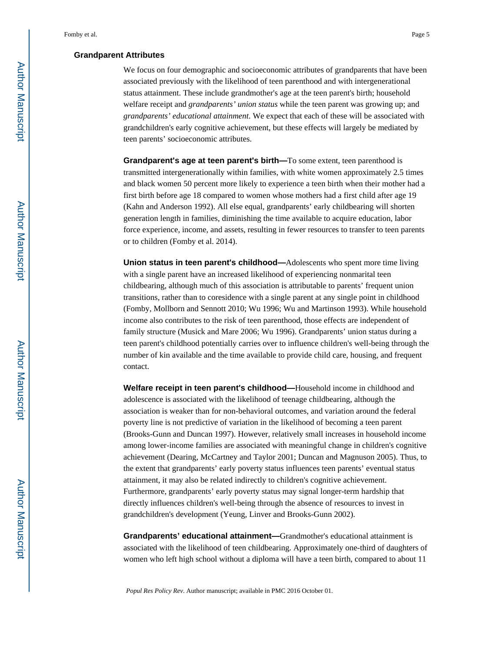#### **Grandparent Attributes**

We focus on four demographic and socioeconomic attributes of grandparents that have been associated previously with the likelihood of teen parenthood and with intergenerational status attainment. These include grandmother's age at the teen parent's birth; household welfare receipt and *grandparents' union status* while the teen parent was growing up; and *grandparents' educational attainment*. We expect that each of these will be associated with grandchildren's early cognitive achievement, but these effects will largely be mediated by teen parents' socioeconomic attributes.

**Grandparent's age at teen parent's birth—**To some extent, teen parenthood is transmitted intergenerationally within families, with white women approximately 2.5 times and black women 50 percent more likely to experience a teen birth when their mother had a first birth before age 18 compared to women whose mothers had a first child after age 19 (Kahn and Anderson 1992). All else equal, grandparents' early childbearing will shorten generation length in families, diminishing the time available to acquire education, labor force experience, income, and assets, resulting in fewer resources to transfer to teen parents or to children (Fomby et al. 2014).

**Union status in teen parent's childhood—**Adolescents who spent more time living with a single parent have an increased likelihood of experiencing nonmarital teen childbearing, although much of this association is attributable to parents' frequent union transitions, rather than to coresidence with a single parent at any single point in childhood (Fomby, Mollborn and Sennott 2010; Wu 1996; Wu and Martinson 1993). While household income also contributes to the risk of teen parenthood, those effects are independent of family structure (Musick and Mare 2006; Wu 1996). Grandparents' union status during a teen parent's childhood potentially carries over to influence children's well-being through the number of kin available and the time available to provide child care, housing, and frequent contact.

**Welfare receipt in teen parent's childhood—**Household income in childhood and adolescence is associated with the likelihood of teenage childbearing, although the association is weaker than for non-behavioral outcomes, and variation around the federal poverty line is not predictive of variation in the likelihood of becoming a teen parent (Brooks-Gunn and Duncan 1997). However, relatively small increases in household income among lower-income families are associated with meaningful change in children's cognitive achievement (Dearing, McCartney and Taylor 2001; Duncan and Magnuson 2005). Thus, to the extent that grandparents' early poverty status influences teen parents' eventual status attainment, it may also be related indirectly to children's cognitive achievement. Furthermore, grandparents' early poverty status may signal longer-term hardship that directly influences children's well-being through the absence of resources to invest in grandchildren's development (Yeung, Linver and Brooks-Gunn 2002).

**Grandparents' educational attainment—**Grandmother's educational attainment is associated with the likelihood of teen childbearing. Approximately one-third of daughters of women who left high school without a diploma will have a teen birth, compared to about 11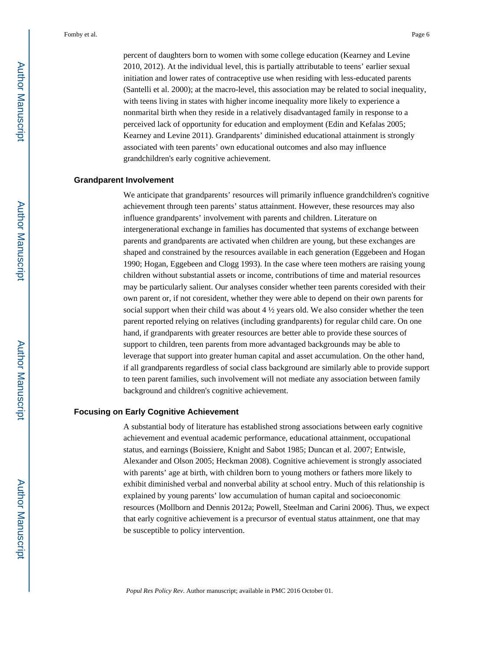percent of daughters born to women with some college education (Kearney and Levine 2010, 2012). At the individual level, this is partially attributable to teens' earlier sexual initiation and lower rates of contraceptive use when residing with less-educated parents (Santelli et al. 2000); at the macro-level, this association may be related to social inequality, with teens living in states with higher income inequality more likely to experience a nonmarital birth when they reside in a relatively disadvantaged family in response to a perceived lack of opportunity for education and employment (Edin and Kefalas 2005; Kearney and Levine 2011). Grandparents' diminished educational attainment is strongly associated with teen parents' own educational outcomes and also may influence grandchildren's early cognitive achievement.

#### **Grandparent Involvement**

We anticipate that grandparents' resources will primarily influence grandchildren's cognitive achievement through teen parents' status attainment. However, these resources may also influence grandparents' involvement with parents and children. Literature on intergenerational exchange in families has documented that systems of exchange between parents and grandparents are activated when children are young, but these exchanges are shaped and constrained by the resources available in each generation (Eggebeen and Hogan 1990; Hogan, Eggebeen and Clogg 1993). In the case where teen mothers are raising young children without substantial assets or income, contributions of time and material resources may be particularly salient. Our analyses consider whether teen parents coresided with their own parent or, if not coresident, whether they were able to depend on their own parents for social support when their child was about  $4\frac{1}{2}$  years old. We also consider whether the teen parent reported relying on relatives (including grandparents) for regular child care. On one hand, if grandparents with greater resources are better able to provide these sources of support to children, teen parents from more advantaged backgrounds may be able to leverage that support into greater human capital and asset accumulation. On the other hand, if all grandparents regardless of social class background are similarly able to provide support to teen parent families, such involvement will not mediate any association between family background and children's cognitive achievement.

#### **Focusing on Early Cognitive Achievement**

A substantial body of literature has established strong associations between early cognitive achievement and eventual academic performance, educational attainment, occupational status, and earnings (Boissiere, Knight and Sabot 1985; Duncan et al. 2007; Entwisle, Alexander and Olson 2005; Heckman 2008). Cognitive achievement is strongly associated with parents' age at birth, with children born to young mothers or fathers more likely to exhibit diminished verbal and nonverbal ability at school entry. Much of this relationship is explained by young parents' low accumulation of human capital and socioeconomic resources (Mollborn and Dennis 2012a; Powell, Steelman and Carini 2006). Thus, we expect that early cognitive achievement is a precursor of eventual status attainment, one that may be susceptible to policy intervention.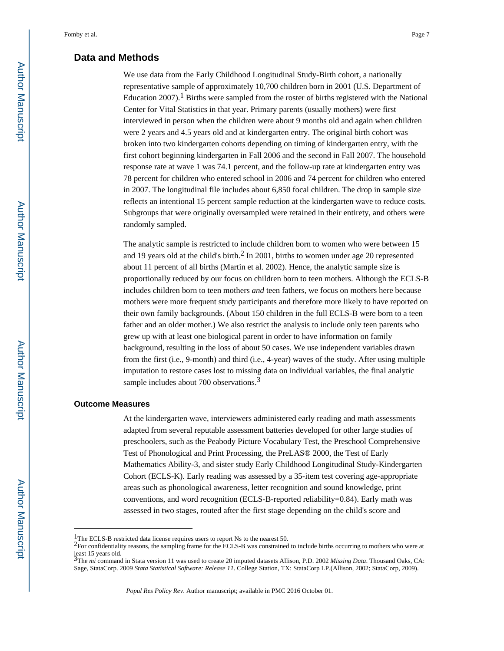#### **Data and Methods**

We use data from the Early Childhood Longitudinal Study-Birth cohort, a nationally representative sample of approximately 10,700 children born in 2001 (U.S. Department of Education 2007).<sup>1</sup> Births were sampled from the roster of births registered with the National Center for Vital Statistics in that year. Primary parents (usually mothers) were first interviewed in person when the children were about 9 months old and again when children were 2 years and 4.5 years old and at kindergarten entry. The original birth cohort was broken into two kindergarten cohorts depending on timing of kindergarten entry, with the first cohort beginning kindergarten in Fall 2006 and the second in Fall 2007. The household response rate at wave 1 was 74.1 percent, and the follow-up rate at kindergarten entry was 78 percent for children who entered school in 2006 and 74 percent for children who entered in 2007. The longitudinal file includes about 6,850 focal children. The drop in sample size reflects an intentional 15 percent sample reduction at the kindergarten wave to reduce costs. Subgroups that were originally oversampled were retained in their entirety, and others were randomly sampled.

The analytic sample is restricted to include children born to women who were between 15 and 19 years old at the child's birth.<sup>2</sup> In 2001, births to women under age 20 represented about 11 percent of all births (Martin et al. 2002). Hence, the analytic sample size is proportionally reduced by our focus on children born to teen mothers. Although the ECLS-B includes children born to teen mothers *and* teen fathers, we focus on mothers here because mothers were more frequent study participants and therefore more likely to have reported on their own family backgrounds. (About 150 children in the full ECLS-B were born to a teen father and an older mother.) We also restrict the analysis to include only teen parents who grew up with at least one biological parent in order to have information on family background, resulting in the loss of about 50 cases. We use independent variables drawn from the first (i.e., 9-month) and third (i.e., 4-year) waves of the study. After using multiple imputation to restore cases lost to missing data on individual variables, the final analytic sample includes about 700 observations.<sup>3</sup>

#### **Outcome Measures**

At the kindergarten wave, interviewers administered early reading and math assessments adapted from several reputable assessment batteries developed for other large studies of preschoolers, such as the Peabody Picture Vocabulary Test, the Preschool Comprehensive Test of Phonological and Print Processing, the PreLAS® 2000, the Test of Early Mathematics Ability-3, and sister study Early Childhood Longitudinal Study-Kindergarten Cohort (ECLS-K). Early reading was assessed by a 35-item test covering age-appropriate areas such as phonological awareness, letter recognition and sound knowledge, print conventions, and word recognition (ECLS-B-reported reliability=0.84). Early math was assessed in two stages, routed after the first stage depending on the child's score and

<sup>&</sup>lt;sup>1</sup>The ECLS-B restricted data license requires users to report Ns to the nearest 50.

<sup>&</sup>lt;sup>2</sup>For confidentiality reasons, the sampling frame for the ECLS-B was constrained to include births occurring to mothers who were at least 15 years old.

<sup>3</sup>The *mi* command in Stata version 11 was used to create 20 imputed datasets Allison, P.D. 2002 *Missing Data*. Thousand Oaks, CA: Sage, StataCorp. 2009 *Stata Statistical Software: Release 11*. College Station, TX: StataCorp LP.(Allison, 2002; StataCorp, 2009).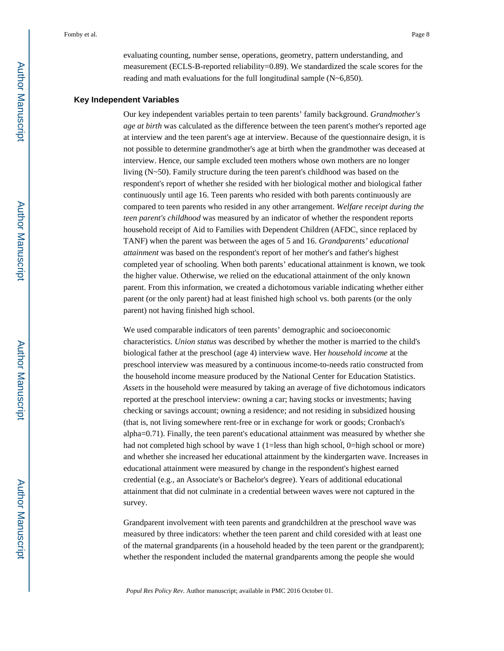evaluating counting, number sense, operations, geometry, pattern understanding, and measurement (ECLS-B-reported reliability=0.89). We standardized the scale scores for the reading and math evaluations for the full longitudinal sample (N~6,850).

#### **Key Independent Variables**

Our key independent variables pertain to teen parents' family background. *Grandmother's age at birth* was calculated as the difference between the teen parent's mother's reported age at interview and the teen parent's age at interview. Because of the questionnaire design, it is not possible to determine grandmother's age at birth when the grandmother was deceased at interview. Hence, our sample excluded teen mothers whose own mothers are no longer living (N~50). Family structure during the teen parent's childhood was based on the respondent's report of whether she resided with her biological mother and biological father continuously until age 16. Teen parents who resided with both parents continuously are compared to teen parents who resided in any other arrangement. *Welfare receipt during the teen parent's childhood* was measured by an indicator of whether the respondent reports household receipt of Aid to Families with Dependent Children (AFDC, since replaced by TANF) when the parent was between the ages of 5 and 16. *Grandparents' educational attainment* was based on the respondent's report of her mother's and father's highest completed year of schooling. When both parents' educational attainment is known, we took the higher value. Otherwise, we relied on the educational attainment of the only known parent. From this information, we created a dichotomous variable indicating whether either parent (or the only parent) had at least finished high school vs. both parents (or the only parent) not having finished high school.

We used comparable indicators of teen parents' demographic and socioeconomic characteristics. *Union status* was described by whether the mother is married to the child's biological father at the preschool (age 4) interview wave. Her *household income* at the preschool interview was measured by a continuous income-to-needs ratio constructed from the household income measure produced by the National Center for Education Statistics. *Assets* in the household were measured by taking an average of five dichotomous indicators reported at the preschool interview: owning a car; having stocks or investments; having checking or savings account; owning a residence; and not residing in subsidized housing (that is, not living somewhere rent-free or in exchange for work or goods; Cronbach's alpha=0.71). Finally, the teen parent's educational attainment was measured by whether she had not completed high school by wave 1 (1=less than high school, 0=high school or more) and whether she increased her educational attainment by the kindergarten wave. Increases in educational attainment were measured by change in the respondent's highest earned credential (e.g., an Associate's or Bachelor's degree). Years of additional educational attainment that did not culminate in a credential between waves were not captured in the survey.

Grandparent involvement with teen parents and grandchildren at the preschool wave was measured by three indicators: whether the teen parent and child coresided with at least one of the maternal grandparents (in a household headed by the teen parent or the grandparent); whether the respondent included the maternal grandparents among the people she would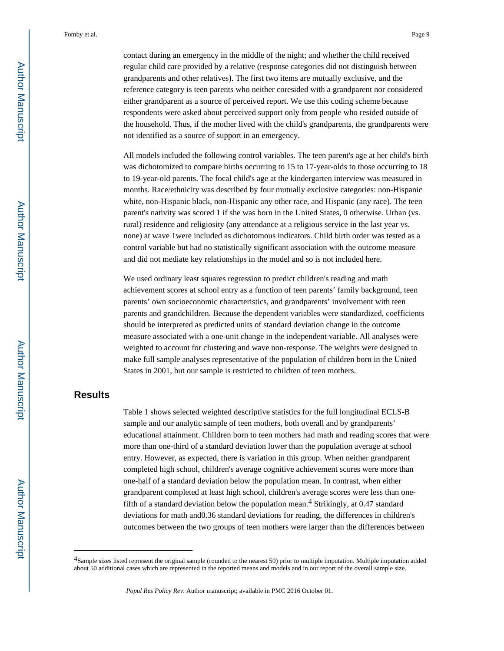contact during an emergency in the middle of the night; and whether the child received regular child care provided by a relative (response categories did not distinguish between grandparents and other relatives). The first two items are mutually exclusive, and the reference category is teen parents who neither coresided with a grandparent nor considered either grandparent as a source of perceived report. We use this coding scheme because respondents were asked about perceived support only from people who resided outside of the household. Thus, if the mother lived with the child's grandparents, the grandparents were not identified as a source of support in an emergency.

All models included the following control variables. The teen parent's age at her child's birth was dichotomized to compare births occurring to 15 to 17-year-olds to those occurring to 18 to 19-year-old parents. The focal child's age at the kindergarten interview was measured in months. Race/ethnicity was described by four mutually exclusive categories: non-Hispanic white, non-Hispanic black, non-Hispanic any other race, and Hispanic (any race). The teen parent's nativity was scored 1 if she was born in the United States, 0 otherwise. Urban (vs. rural) residence and religiosity (any attendance at a religious service in the last year vs. none) at wave 1were included as dichotomous indicators. Child birth order was tested as a control variable but had no statistically significant association with the outcome measure and did not mediate key relationships in the model and so is not included here.

We used ordinary least squares regression to predict children's reading and math achievement scores at school entry as a function of teen parents' family background, teen parents' own socioeconomic characteristics, and grandparents' involvement with teen parents and grandchildren. Because the dependent variables were standardized, coefficients should be interpreted as predicted units of standard deviation change in the outcome measure associated with a one-unit change in the independent variable. All analyses were weighted to account for clustering and wave non-response. The weights were designed to make full sample analyses representative of the population of children born in the United States in 2001, but our sample is restricted to children of teen mothers.

#### **Results**

Table 1 shows selected weighted descriptive statistics for the full longitudinal ECLS-B sample and our analytic sample of teen mothers, both overall and by grandparents' educational attainment. Children born to teen mothers had math and reading scores that were more than one-third of a standard deviation lower than the population average at school entry. However, as expected, there is variation in this group. When neither grandparent completed high school, children's average cognitive achievement scores were more than one-half of a standard deviation below the population mean. In contrast, when either grandparent completed at least high school, children's average scores were less than onefifth of a standard deviation below the population mean.<sup>4</sup> Strikingly, at 0.47 standard deviations for math and0.36 standard deviations for reading, the differences in children's outcomes between the two groups of teen mothers were larger than the differences between

<sup>&</sup>lt;sup>4</sup>Sample sizes listed represent the original sample (rounded to the nearest 50) prior to multiple imputation. Multiple imputation added about 50 additional cases which are represented in the reported means and models and in our report of the overall sample size.

*Popul Res Policy Rev*. Author manuscript; available in PMC 2016 October 01.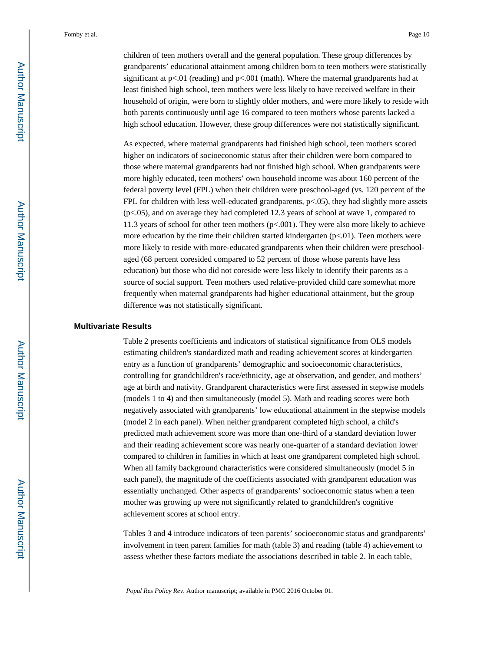children of teen mothers overall and the general population. These group differences by grandparents' educational attainment among children born to teen mothers were statistically significant at  $p<0.01$  (reading) and  $p<0.01$  (math). Where the maternal grandparents had at least finished high school, teen mothers were less likely to have received welfare in their household of origin, were born to slightly older mothers, and were more likely to reside with both parents continuously until age 16 compared to teen mothers whose parents lacked a high school education. However, these group differences were not statistically significant.

As expected, where maternal grandparents had finished high school, teen mothers scored higher on indicators of socioeconomic status after their children were born compared to those where maternal grandparents had not finished high school. When grandparents were more highly educated, teen mothers' own household income was about 160 percent of the federal poverty level (FPL) when their children were preschool-aged (vs. 120 percent of the FPL for children with less well-educated grandparents,  $p<0.05$ ), they had slightly more assets (p<.05), and on average they had completed 12.3 years of school at wave 1, compared to 11.3 years of school for other teen mothers (p<.001). They were also more likely to achieve more education by the time their children started kindergarten  $(p<0.01)$ . Teen mothers were more likely to reside with more-educated grandparents when their children were preschoolaged (68 percent coresided compared to 52 percent of those whose parents have less education) but those who did not coreside were less likely to identify their parents as a source of social support. Teen mothers used relative-provided child care somewhat more frequently when maternal grandparents had higher educational attainment, but the group difference was not statistically significant.

#### **Multivariate Results**

Table 2 presents coefficients and indicators of statistical significance from OLS models estimating children's standardized math and reading achievement scores at kindergarten entry as a function of grandparents' demographic and socioeconomic characteristics, controlling for grandchildren's race/ethnicity, age at observation, and gender, and mothers' age at birth and nativity. Grandparent characteristics were first assessed in stepwise models (models 1 to 4) and then simultaneously (model 5). Math and reading scores were both negatively associated with grandparents' low educational attainment in the stepwise models (model 2 in each panel). When neither grandparent completed high school, a child's predicted math achievement score was more than one-third of a standard deviation lower and their reading achievement score was nearly one-quarter of a standard deviation lower compared to children in families in which at least one grandparent completed high school. When all family background characteristics were considered simultaneously (model 5 in each panel), the magnitude of the coefficients associated with grandparent education was essentially unchanged. Other aspects of grandparents' socioeconomic status when a teen mother was growing up were not significantly related to grandchildren's cognitive achievement scores at school entry.

Tables 3 and 4 introduce indicators of teen parents' socioeconomic status and grandparents' involvement in teen parent families for math (table 3) and reading (table 4) achievement to assess whether these factors mediate the associations described in table 2. In each table,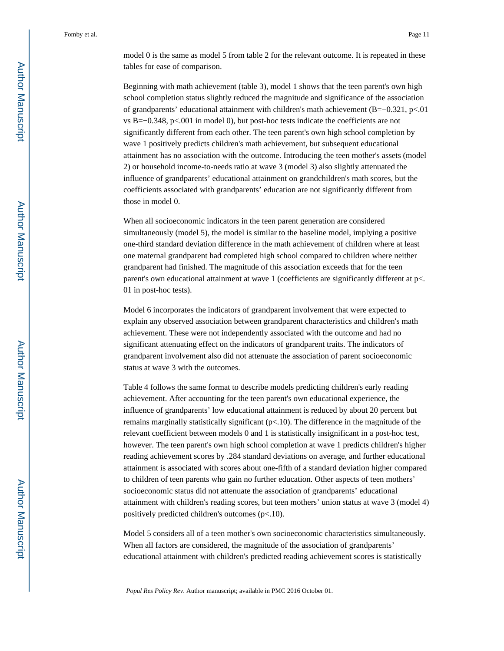model 0 is the same as model 5 from table 2 for the relevant outcome. It is repeated in these tables for ease of comparison.

Beginning with math achievement (table 3), model 1 shows that the teen parent's own high school completion status slightly reduced the magnitude and significance of the association of grandparents' educational attainment with children's math achievement (B=−0.321, p<.01 vs B=−0.348, p<.001 in model 0), but post-hoc tests indicate the coefficients are not significantly different from each other. The teen parent's own high school completion by wave 1 positively predicts children's math achievement, but subsequent educational attainment has no association with the outcome. Introducing the teen mother's assets (model 2) or household income-to-needs ratio at wave 3 (model 3) also slightly attenuated the influence of grandparents' educational attainment on grandchildren's math scores, but the coefficients associated with grandparents' education are not significantly different from those in model 0.

When all socioeconomic indicators in the teen parent generation are considered simultaneously (model 5), the model is similar to the baseline model, implying a positive one-third standard deviation difference in the math achievement of children where at least one maternal grandparent had completed high school compared to children where neither grandparent had finished. The magnitude of this association exceeds that for the teen parent's own educational attainment at wave 1 (coefficients are significantly different at p<. 01 in post-hoc tests).

Model 6 incorporates the indicators of grandparent involvement that were expected to explain any observed association between grandparent characteristics and children's math achievement. These were not independently associated with the outcome and had no significant attenuating effect on the indicators of grandparent traits. The indicators of grandparent involvement also did not attenuate the association of parent socioeconomic status at wave 3 with the outcomes.

Table 4 follows the same format to describe models predicting children's early reading achievement. After accounting for the teen parent's own educational experience, the influence of grandparents' low educational attainment is reduced by about 20 percent but remains marginally statistically significant  $(p<10)$ . The difference in the magnitude of the relevant coefficient between models 0 and 1 is statistically insignificant in a post-hoc test, however. The teen parent's own high school completion at wave 1 predicts children's higher reading achievement scores by .284 standard deviations on average, and further educational attainment is associated with scores about one-fifth of a standard deviation higher compared to children of teen parents who gain no further education. Other aspects of teen mothers' socioeconomic status did not attenuate the association of grandparents' educational attainment with children's reading scores, but teen mothers' union status at wave 3 (model 4) positively predicted children's outcomes (p<.10).

Model 5 considers all of a teen mother's own socioeconomic characteristics simultaneously. When all factors are considered, the magnitude of the association of grandparents' educational attainment with children's predicted reading achievement scores is statistically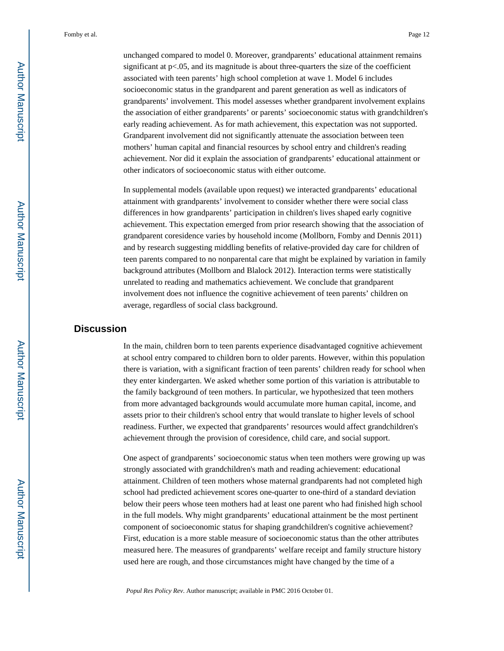unchanged compared to model 0. Moreover, grandparents' educational attainment remains significant at  $p < 0.05$ , and its magnitude is about three-quarters the size of the coefficient associated with teen parents' high school completion at wave 1. Model 6 includes socioeconomic status in the grandparent and parent generation as well as indicators of grandparents' involvement. This model assesses whether grandparent involvement explains the association of either grandparents' or parents' socioeconomic status with grandchildren's early reading achievement. As for math achievement, this expectation was not supported. Grandparent involvement did not significantly attenuate the association between teen mothers' human capital and financial resources by school entry and children's reading achievement. Nor did it explain the association of grandparents' educational attainment or other indicators of socioeconomic status with either outcome.

In supplemental models (available upon request) we interacted grandparents' educational attainment with grandparents' involvement to consider whether there were social class differences in how grandparents' participation in children's lives shaped early cognitive achievement. This expectation emerged from prior research showing that the association of grandparent coresidence varies by household income (Mollborn, Fomby and Dennis 2011) and by research suggesting middling benefits of relative-provided day care for children of teen parents compared to no nonparental care that might be explained by variation in family background attributes (Mollborn and Blalock 2012). Interaction terms were statistically unrelated to reading and mathematics achievement. We conclude that grandparent involvement does not influence the cognitive achievement of teen parents' children on average, regardless of social class background.

#### **Discussion**

In the main, children born to teen parents experience disadvantaged cognitive achievement at school entry compared to children born to older parents. However, within this population there is variation, with a significant fraction of teen parents' children ready for school when they enter kindergarten. We asked whether some portion of this variation is attributable to the family background of teen mothers. In particular, we hypothesized that teen mothers from more advantaged backgrounds would accumulate more human capital, income, and assets prior to their children's school entry that would translate to higher levels of school readiness. Further, we expected that grandparents' resources would affect grandchildren's achievement through the provision of coresidence, child care, and social support.

One aspect of grandparents' socioeconomic status when teen mothers were growing up was strongly associated with grandchildren's math and reading achievement: educational attainment. Children of teen mothers whose maternal grandparents had not completed high school had predicted achievement scores one-quarter to one-third of a standard deviation below their peers whose teen mothers had at least one parent who had finished high school in the full models. Why might grandparents' educational attainment be the most pertinent component of socioeconomic status for shaping grandchildren's cognitive achievement? First, education is a more stable measure of socioeconomic status than the other attributes measured here. The measures of grandparents' welfare receipt and family structure history used here are rough, and those circumstances might have changed by the time of a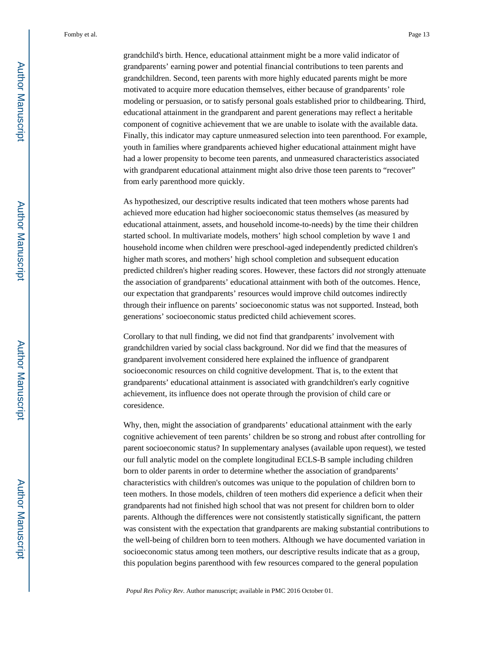grandchild's birth. Hence, educational attainment might be a more valid indicator of grandparents' earning power and potential financial contributions to teen parents and grandchildren. Second, teen parents with more highly educated parents might be more motivated to acquire more education themselves, either because of grandparents' role modeling or persuasion, or to satisfy personal goals established prior to childbearing. Third, educational attainment in the grandparent and parent generations may reflect a heritable component of cognitive achievement that we are unable to isolate with the available data. Finally, this indicator may capture unmeasured selection into teen parenthood. For example, youth in families where grandparents achieved higher educational attainment might have had a lower propensity to become teen parents, and unmeasured characteristics associated with grandparent educational attainment might also drive those teen parents to "recover" from early parenthood more quickly.

As hypothesized, our descriptive results indicated that teen mothers whose parents had achieved more education had higher socioeconomic status themselves (as measured by educational attainment, assets, and household income-to-needs) by the time their children started school. In multivariate models, mothers' high school completion by wave 1 and household income when children were preschool-aged independently predicted children's higher math scores, and mothers' high school completion and subsequent education predicted children's higher reading scores. However, these factors did *not* strongly attenuate the association of grandparents' educational attainment with both of the outcomes. Hence, our expectation that grandparents' resources would improve child outcomes indirectly through their influence on parents' socioeconomic status was not supported. Instead, both generations' socioeconomic status predicted child achievement scores.

Corollary to that null finding, we did not find that grandparents' involvement with grandchildren varied by social class background. Nor did we find that the measures of grandparent involvement considered here explained the influence of grandparent socioeconomic resources on child cognitive development. That is, to the extent that grandparents' educational attainment is associated with grandchildren's early cognitive achievement, its influence does not operate through the provision of child care or coresidence.

Why, then, might the association of grandparents' educational attainment with the early cognitive achievement of teen parents' children be so strong and robust after controlling for parent socioeconomic status? In supplementary analyses (available upon request), we tested our full analytic model on the complete longitudinal ECLS-B sample including children born to older parents in order to determine whether the association of grandparents' characteristics with children's outcomes was unique to the population of children born to teen mothers. In those models, children of teen mothers did experience a deficit when their grandparents had not finished high school that was not present for children born to older parents. Although the differences were not consistently statistically significant, the pattern was consistent with the expectation that grandparents are making substantial contributions to the well-being of children born to teen mothers. Although we have documented variation in socioeconomic status among teen mothers, our descriptive results indicate that as a group, this population begins parenthood with few resources compared to the general population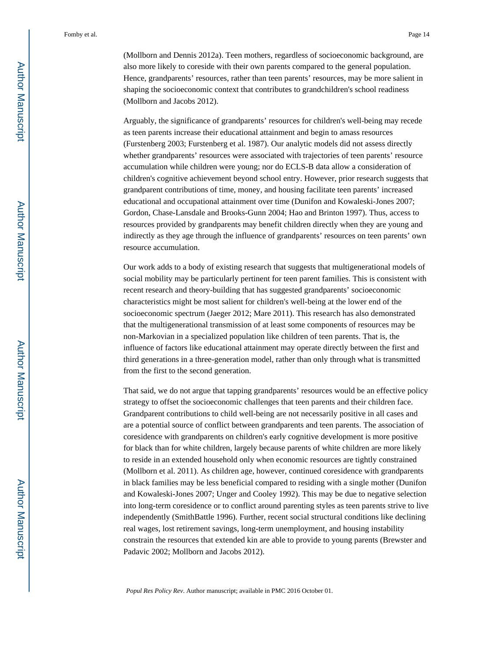(Mollborn and Dennis 2012a). Teen mothers, regardless of socioeconomic background, are also more likely to coreside with their own parents compared to the general population. Hence, grandparents' resources, rather than teen parents' resources, may be more salient in shaping the socioeconomic context that contributes to grandchildren's school readiness (Mollborn and Jacobs 2012).

Arguably, the significance of grandparents' resources for children's well-being may recede as teen parents increase their educational attainment and begin to amass resources (Furstenberg 2003; Furstenberg et al. 1987). Our analytic models did not assess directly whether grandparents' resources were associated with trajectories of teen parents' resource accumulation while children were young; nor do ECLS-B data allow a consideration of children's cognitive achievement beyond school entry. However, prior research suggests that grandparent contributions of time, money, and housing facilitate teen parents' increased educational and occupational attainment over time (Dunifon and Kowaleski-Jones 2007; Gordon, Chase-Lansdale and Brooks-Gunn 2004; Hao and Brinton 1997). Thus, access to resources provided by grandparents may benefit children directly when they are young and indirectly as they age through the influence of grandparents' resources on teen parents' own resource accumulation.

Our work adds to a body of existing research that suggests that multigenerational models of social mobility may be particularly pertinent for teen parent families. This is consistent with recent research and theory-building that has suggested grandparents' socioeconomic characteristics might be most salient for children's well-being at the lower end of the socioeconomic spectrum (Jaeger 2012; Mare 2011). This research has also demonstrated that the multigenerational transmission of at least some components of resources may be non-Markovian in a specialized population like children of teen parents. That is, the influence of factors like educational attainment may operate directly between the first and third generations in a three-generation model, rather than only through what is transmitted from the first to the second generation.

That said, we do not argue that tapping grandparents' resources would be an effective policy strategy to offset the socioeconomic challenges that teen parents and their children face. Grandparent contributions to child well-being are not necessarily positive in all cases and are a potential source of conflict between grandparents and teen parents. The association of coresidence with grandparents on children's early cognitive development is more positive for black than for white children, largely because parents of white children are more likely to reside in an extended household only when economic resources are tightly constrained (Mollborn et al. 2011). As children age, however, continued coresidence with grandparents in black families may be less beneficial compared to residing with a single mother (Dunifon and Kowaleski-Jones 2007; Unger and Cooley 1992). This may be due to negative selection into long-term coresidence or to conflict around parenting styles as teen parents strive to live independently (SmithBattle 1996). Further, recent social structural conditions like declining real wages, lost retirement savings, long-term unemployment, and housing instability constrain the resources that extended kin are able to provide to young parents (Brewster and Padavic 2002; Mollborn and Jacobs 2012).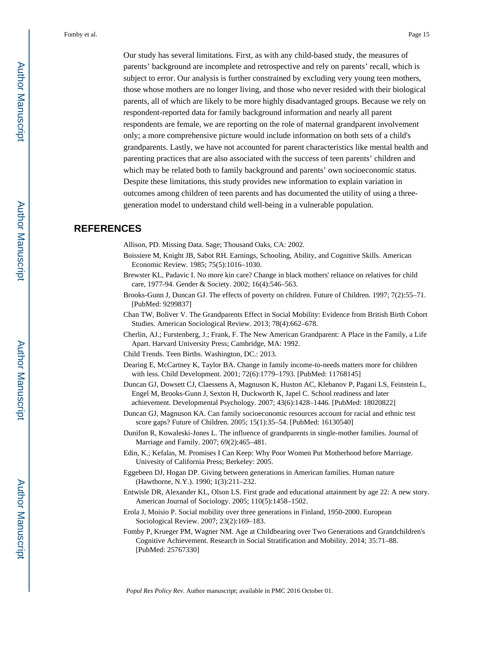Our study has several limitations. First, as with any child-based study, the measures of parents' background are incomplete and retrospective and rely on parents' recall, which is subject to error. Our analysis is further constrained by excluding very young teen mothers, those whose mothers are no longer living, and those who never resided with their biological parents, all of which are likely to be more highly disadvantaged groups. Because we rely on respondent-reported data for family background information and nearly all parent respondents are female, we are reporting on the role of maternal grandparent involvement only; a more comprehensive picture would include information on both sets of a child's grandparents. Lastly, we have not accounted for parent characteristics like mental health and parenting practices that are also associated with the success of teen parents' children and which may be related both to family background and parents' own socioeconomic status. Despite these limitations, this study provides new information to explain variation in outcomes among children of teen parents and has documented the utility of using a threegeneration model to understand child well-being in a vulnerable population.

#### **REFERENCES**

Allison, PD. Missing Data. Sage; Thousand Oaks, CA: 2002.

- Boissiere M, Knight JB, Sabot RH. Earnings, Schooling, Ability, and Cognitive Skills. American Economic Review. 1985; 75(5):1016–1030.
- Brewster KL, Padavic I. No more kin care? Change in black mothers' reliance on relatives for child care, 1977-94. Gender & Society. 2002; 16(4):546–563.
- Brooks-Gunn J, Duncan GJ. The effects of poverty on children. Future of Children. 1997; 7(2):55–71. [PubMed: 9299837]
- Chan TW, Boliver V. The Grandparents Effect in Social Mobility: Evidence from British Birth Cohort Studies. American Sociological Review. 2013; 78(4):662–678.
- Cherlin, AJ.; Furstenberg, J.; Frank, F. The New American Grandparent: A Place in the Family, a Life Apart. Harvard University Press; Cambridge, MA: 1992.
- Child Trends. Teen Births. Washington, DC.: 2013.
- Dearing E, McCartney K, Taylor BA. Change in family income-to-needs matters more for children with less. Child Development. 2001; 72(6):1779–1793. [PubMed: 11768145]
- Duncan GJ, Dowsett CJ, Claessens A, Magnuson K, Huston AC, Klebanov P, Pagani LS, Feinstein L, Engel M, Brooks-Gunn J, Sexton H, Duckworth K, Japel C. School readiness and later achievement. Developmental Psychology. 2007; 43(6):1428–1446. [PubMed: 18020822]
- Duncan GJ, Magnuson KA. Can family socioeconomic resources account for racial and ethnic test score gaps? Future of Children. 2005; 15(1):35–54. [PubMed: 16130540]
- Dunifon R, Kowaleski-Jones L. The influence of grandparents in single-mother families. Journal of Marriage and Family. 2007; 69(2):465–481.
- Edin, K.; Kefalas, M. Promises I Can Keep: Why Poor Women Put Motherhood before Marriage. Univesity of California Press; Berkeley: 2005.
- Eggebeen DJ, Hogan DP. Giving between generations in American families. Human nature (Hawthorne, N.Y.). 1990; 1(3):211–232.
- Entwisle DR, Alexander KL, Olson LS. First grade and educational attainment by age 22: A new story. American Journal of Sociology. 2005; 110(5):1458–1502.
- Erola J, Moisio P. Social mobility over three generations in Finland, 1950-2000. European Sociological Review. 2007; 23(2):169–183.
- Fomby P, Krueger PM, Wagner NM. Age at Childbearing over Two Generations and Grandchildren's Cognitive Achievement. Research in Social Stratification and Mobility. 2014; 35:71–88. [PubMed: 25767330]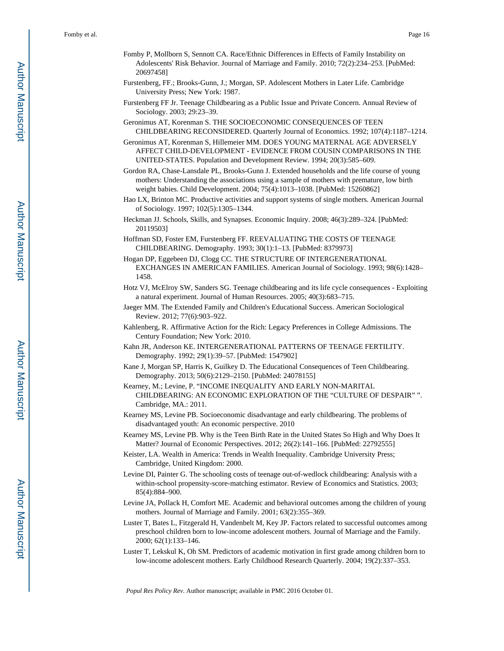- Fomby P, Mollborn S, Sennott CA. Race/Ethnic Differences in Effects of Family Instability on Adolescents' Risk Behavior. Journal of Marriage and Family. 2010; 72(2):234–253. [PubMed: 20697458]
- Furstenberg, FF.; Brooks-Gunn, J.; Morgan, SP. Adolescent Mothers in Later Life. Cambridge University Press; New York: 1987.
- Furstenberg FF Jr. Teenage Childbearing as a Public Issue and Private Concern. Annual Review of Sociology. 2003; 29:23–39.
- Geronimus AT, Korenman S. THE SOCIOECONOMIC CONSEQUENCES OF TEEN CHILDBEARING RECONSIDERED. Quarterly Journal of Economics. 1992; 107(4):1187–1214.
- Geronimus AT, Korenman S, Hillemeier MM. DOES YOUNG MATERNAL AGE ADVERSELY AFFECT CHILD-DEVELOPMENT - EVIDENCE FROM COUSIN COMPARISONS IN THE UNITED-STATES. Population and Development Review. 1994; 20(3):585–609.
- Gordon RA, Chase-Lansdale PL, Brooks-Gunn J. Extended households and the life course of young mothers: Understanding the associations using a sample of mothers with premature, low birth weight babies. Child Development. 2004; 75(4):1013–1038. [PubMed: 15260862]
- Hao LX, Brinton MC. Productive activities and support systems of single mothers. American Journal of Sociology. 1997; 102(5):1305–1344.
- Heckman JJ. Schools, Skills, and Synapses. Economic Inquiry. 2008; 46(3):289–324. [PubMed: 20119503]
- Hoffman SD, Foster EM, Furstenberg FF. REEVALUATING THE COSTS OF TEENAGE CHILDBEARING. Demography. 1993; 30(1):1–13. [PubMed: 8379973]
- Hogan DP, Eggebeen DJ, Clogg CC. THE STRUCTURE OF INTERGENERATIONAL EXCHANGES IN AMERICAN FAMILIES. American Journal of Sociology. 1993; 98(6):1428– 1458.
- Hotz VJ, McElroy SW, Sanders SG. Teenage childbearing and its life cycle consequences Exploiting a natural experiment. Journal of Human Resources. 2005; 40(3):683–715.
- Jaeger MM. The Extended Family and Children's Educational Success. American Sociological Review. 2012; 77(6):903–922.
- Kahlenberg, R. Affirmative Action for the Rich: Legacy Preferences in College Admissions. The Century Foundation; New York: 2010.
- Kahn JR, Anderson KE. INTERGENERATIONAL PATTERNS OF TEENAGE FERTILITY. Demography. 1992; 29(1):39–57. [PubMed: 1547902]
- Kane J, Morgan SP, Harris K, Guilkey D. The Educational Consequences of Teen Childbearing. Demography. 2013; 50(6):2129–2150. [PubMed: 24078155]
- Kearney, M.; Levine, P. "INCOME INEQUALITY AND EARLY NON-MARITAL CHILDBEARING: AN ECONOMIC EXPLORATION OF THE "CULTURE OF DESPAIR" ". Cambridge, MA.: 2011.
- Kearney MS, Levine PB. Socioeconomic disadvantage and early childbearing. The problems of disadvantaged youth: An economic perspective. 2010
- Kearney MS, Levine PB. Why is the Teen Birth Rate in the United States So High and Why Does It Matter? Journal of Economic Perspectives. 2012; 26(2):141–166. [PubMed: 22792555]
- Keister, LA. Wealth in America: Trends in Wealth Inequality. Cambridge University Press; Cambridge, United Kingdom: 2000.
- Levine DI, Painter G. The schooling costs of teenage out-of-wedlock childbearing: Analysis with a within-school propensity-score-matching estimator. Review of Economics and Statistics. 2003; 85(4):884–900.
- Levine JA, Pollack H, Comfort ME. Academic and behavioral outcomes among the children of young mothers. Journal of Marriage and Family. 2001; 63(2):355–369.
- Luster T, Bates L, Fitzgerald H, Vandenbelt M, Key JP. Factors related to successful outcomes among preschool children born to low-income adolescent mothers. Journal of Marriage and the Family. 2000; 62(1):133–146.
- Luster T, Lekskul K, Oh SM. Predictors of academic motivation in first grade among children born to low-income adolescent mothers. Early Childhood Research Quarterly. 2004; 19(2):337–353.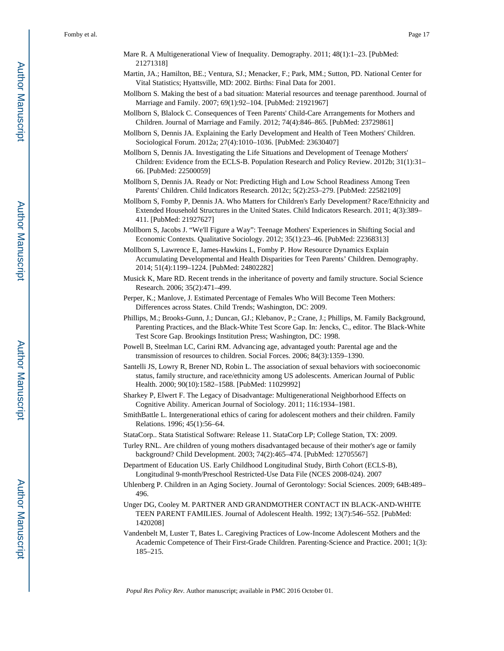- Mare R. A Multigenerational View of Inequality. Demography. 2011; 48(1):1–23. [PubMed: 21271318]
- Martin, JA.; Hamilton, BE.; Ventura, SJ.; Menacker, F.; Park, MM.; Sutton, PD. National Center for Vital Statistics; Hyattsville, MD: 2002. Births: Final Data for 2001.
- Mollborn S. Making the best of a bad situation: Material resources and teenage parenthood. Journal of Marriage and Family. 2007; 69(1):92–104. [PubMed: 21921967]
- Mollborn S, Blalock C. Consequences of Teen Parents' Child-Care Arrangements for Mothers and Children. Journal of Marriage and Family. 2012; 74(4):846–865. [PubMed: 23729861]
- Mollborn S, Dennis JA. Explaining the Early Development and Health of Teen Mothers' Children. Sociological Forum. 2012a; 27(4):1010–1036. [PubMed: 23630407]
- Mollborn S, Dennis JA. Investigating the Life Situations and Development of Teenage Mothers' Children: Evidence from the ECLS-B. Population Research and Policy Review. 2012b; 31(1):31– 66. [PubMed: 22500059]
- Mollborn S, Dennis JA. Ready or Not: Predicting High and Low School Readiness Among Teen Parents' Children. Child Indicators Research. 2012c; 5(2):253–279. [PubMed: 22582109]
- Mollborn S, Fomby P, Dennis JA. Who Matters for Children's Early Development? Race/Ethnicity and Extended Household Structures in the United States. Child Indicators Research. 2011; 4(3):389– 411. [PubMed: 21927627]
- Mollborn S, Jacobs J. "We'll Figure a Way": Teenage Mothers' Experiences in Shifting Social and Economic Contexts. Qualitative Sociology. 2012; 35(1):23–46. [PubMed: 22368313]
- Mollborn S, Lawrence E, James-Hawkins L, Fomby P. How Resource Dynamics Explain Accumulating Developmental and Health Disparities for Teen Parents' Children. Demography. 2014; 51(4):1199–1224. [PubMed: 24802282]
- Musick K, Mare RD. Recent trends in the inheritance of poverty and family structure. Social Science Research. 2006; 35(2):471–499.
- Perper, K.; Manlove, J. Estimated Percentage of Females Who Will Become Teen Mothers: Differences across States. Child Trends; Washington, DC: 2009.
- Phillips, M.; Brooks-Gunn, J.; Duncan, GJ.; Klebanov, P.; Crane, J.; Phillips, M. Family Background, Parenting Practices, and the Black-White Test Score Gap. In: Jencks, C., editor. The Black-White Test Score Gap. Brookings Institution Press; Washington, DC: 1998.
- Powell B, Steelman LC, Carini RM. Advancing age, advantaged youth: Parental age and the transmission of resources to children. Social Forces. 2006; 84(3):1359–1390.
- Santelli JS, Lowry R, Brener ND, Robin L. The association of sexual behaviors with socioeconomic status, family structure, and race/ethnicity among US adolescents. American Journal of Public Health. 2000; 90(10):1582–1588. [PubMed: 11029992]
- Sharkey P, Elwert F. The Legacy of Disadvantage: Multigenerational Neighborhood Effects on Cognitive Ability. American Journal of Sociology. 2011; 116:1934–1981.
- SmithBattle L. Intergenerational ethics of caring for adolescent mothers and their children. Family Relations. 1996; 45(1):56–64.
- StataCorp.. Stata Statistical Software: Release 11. StataCorp LP; College Station, TX: 2009.
- Turley RNL. Are children of young mothers disadvantaged because of their mother's age or family background? Child Development. 2003; 74(2):465–474. [PubMed: 12705567]
- Department of Education US. Early Childhood Longitudinal Study, Birth Cohort (ECLS-B), Longitudinal 9-month/Preschool Restricted-Use Data File (NCES 2008-024). 2007
- Uhlenberg P. Children in an Aging Society. Journal of Gerontology: Social Sciences. 2009; 64B:489– 496.
- Unger DG, Cooley M. PARTNER AND GRANDMOTHER CONTACT IN BLACK-AND-WHITE TEEN PARENT FAMILIES. Journal of Adolescent Health. 1992; 13(7):546–552. [PubMed: 1420208]
- Vandenbelt M, Luster T, Bates L. Caregiving Practices of Low-Income Adolescent Mothers and the Academic Competence of Their First-Grade Children. Parenting-Science and Practice. 2001; 1(3): 185–215.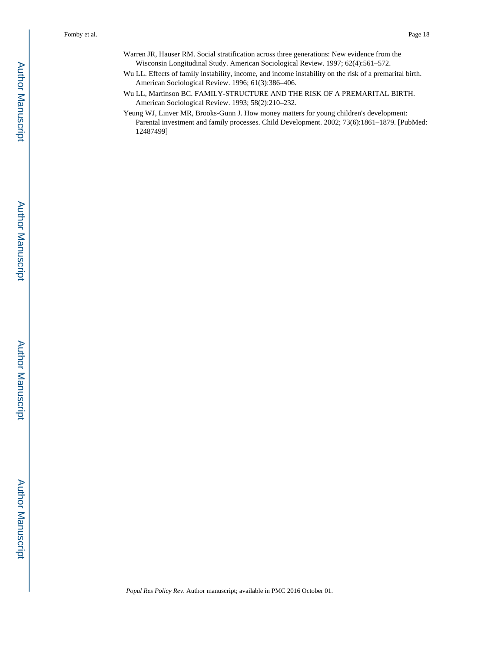- Warren JR, Hauser RM. Social stratification across three generations: New evidence from the Wisconsin Longitudinal Study. American Sociological Review. 1997; 62(4):561–572.
- Wu LL. Effects of family instability, income, and income instability on the risk of a premarital birth. American Sociological Review. 1996; 61(3):386–406.
- Wu LL, Martinson BC. FAMILY-STRUCTURE AND THE RISK OF A PREMARITAL BIRTH. American Sociological Review. 1993; 58(2):210–232.
- Yeung WJ, Linver MR, Brooks-Gunn J. How money matters for young children's development: Parental investment and family processes. Child Development. 2002; 73(6):1861–1879. [PubMed: 12487499]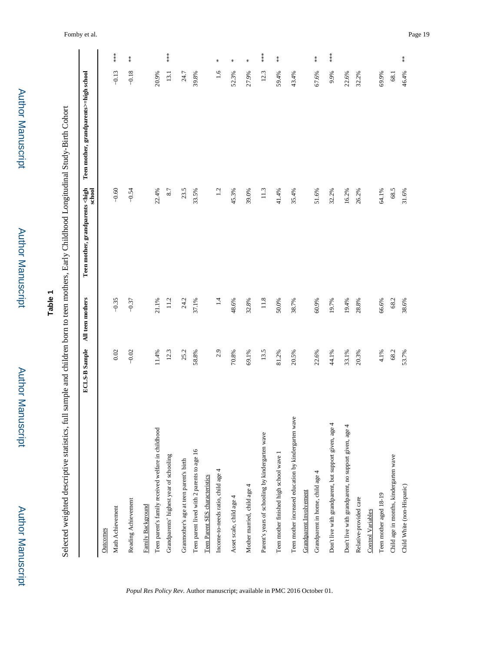Author Manuscript

**Author Manuscript** 

## **Table 1**

Selected weighted descriptive statistics, full sample and children born to teen mothers, Early Childhood Longitudinal Study-Birth Cohort Selected weighted descriptive statistics, full sample and children born to teen mothers, Early Childhood Longitudinal Study-Birth Cohort  $\overline{\phantom{a}}$ 

|                                                                                        | ECLS-B Sample | All teen mothers | Teen mother, grandparents <high<br>school</high<br> | Teen mother, grandparents>=high school |            |
|----------------------------------------------------------------------------------------|---------------|------------------|-----------------------------------------------------|----------------------------------------|------------|
| Outcomes                                                                               |               |                  |                                                     |                                        |            |
| Math Achievement                                                                       | 0.02          | $-0.35$          | $-0.60$                                             | $-0.13$                                | ***        |
| Reading Achievement                                                                    | $-0.02$       | $-0.37$          | $-0.54$                                             | $-0.18$                                | $*$        |
| Family Background                                                                      |               |                  |                                                     |                                        |            |
| Teen parent's family received welfare in childhood                                     | 11.4%         | 21.1%            | 22.4%                                               | 20.9%                                  |            |
| Grandparents' highest year of schooling                                                | 12.3          | 11.2             | 8.7                                                 | 13.1                                   | $***$      |
| Granmother's age at teen parent's birth                                                | 25.2          | 24.2             | 23.5                                                | 24.7                                   |            |
| Teen parent lived with 2 parents to age 16                                             | 58.8%         | 37.1%            | 33.5%                                               | 39.8%                                  |            |
| Teen Parent SES characteristics                                                        |               |                  |                                                     |                                        |            |
| Income-to-needs ratio, child age 4                                                     | 2.9           | 1.4              | 1.2                                                 | 1.6                                    | ₩          |
| Asset scale, child age 4                                                               | 70.8%         | 48.6%            | 45.3%                                               | 52.3%                                  | ₩          |
| Mother married, child age 4                                                            | 69.1%         | 32.8%            | 39.0%                                               | 27.9%                                  | ∗          |
| Parent's years of schooling by kindergarten wave                                       | 13.5          | 11.8             | 11.3                                                | 12.3                                   | ***        |
| Teen mother finished high school wave 1                                                | 81.2%         | 50.0%            | 41.4%                                               | 59.4%                                  | $*$        |
| Teen mother increased education by kindergarten wave<br><b>Grandparent Involvement</b> | 20.5%         | 38.7%            | 35.4%                                               | 43.4%                                  |            |
| Grandparent in home, child age 4                                                       | 22.6%         | 60.9%            | 51.6%                                               | 67.6%                                  | $*$        |
| Don't live with grandparent, but support given, age 4                                  | 44.1%         | 19.7%            | 32.2%                                               | 9.9%                                   | $*$<br>$*$ |
| Don't live with grandparent, no support given, age 4                                   | 33.1%         | 19.4%            | 16.2%                                               | 22.6%                                  |            |
| Relative-provided care                                                                 | 20.3%         | 28.8%            | 26.2%                                               | 32.2%                                  |            |
| Control Variables                                                                      |               |                  |                                                     |                                        |            |
| Teen mother aged 18-19                                                                 | 4.1%          | 66.6%            | 64.1%                                               | 69.9%                                  |            |
| Child age in months, kindergarten wave                                                 | 68.2          | 68.2             | 68.5                                                | 68.1                                   |            |
| Child White (non-Hispanic)                                                             | 53.7%         | 38.6%            | 31.6%                                               | 46.4%                                  | $*$        |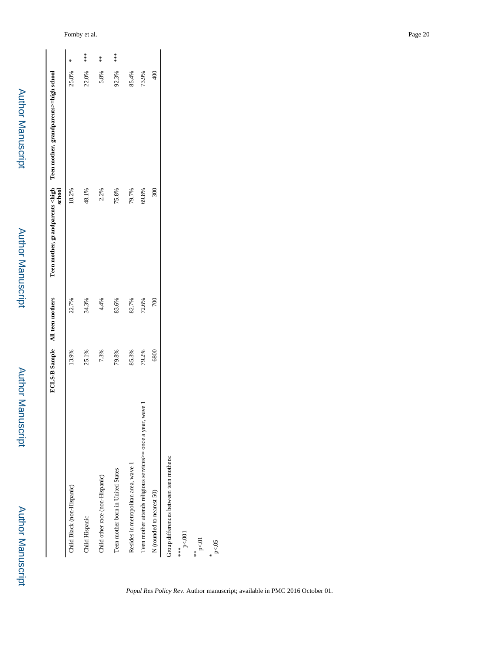Author Manuscript

**Author Manuscript** 

|                                                              |       | ECLS-B Sample All teen mothers | school | Teen mother, grandparents <high grandparents="" mother,="" teen="">=high school</high> |     |
|--------------------------------------------------------------|-------|--------------------------------|--------|----------------------------------------------------------------------------------------|-----|
| Child Black (non-Hispanic)                                   | 13.9% | 22.7%                          | 18.2%  | ₩<br>25.8%                                                                             |     |
| Child Hispanic                                               | 25.1% | 34.3%                          | 48.1%  | 22.0%                                                                                  | *** |
| Child other race (non-Hispanic)                              | 7.3%  | 4.4%                           | 2.2%   | $**$<br>5.8%                                                                           |     |
| Teen mother born in United States                            | 79.8% | 83.6%                          | 75.8%  | 92.3%                                                                                  | *** |
| Resides in metropolitan area, wave 1                         | 85.3% | 82.7%                          | 79.7%  | 85.4%                                                                                  |     |
| Teen mother attends religious services>= once a year, wave I | 79.2% | 72.6%                          | 69.8%  | 73.9%                                                                                  |     |
| N (rounded to nearest 50)                                    | 6800  | 700                            | 300    | $rac{1}{2}$                                                                            |     |
| Group differences between teen mothers:<br>p<.001<br>***     |       |                                |        |                                                                                        |     |

*Popul Res Policy Rev*. Author manuscript; available in PMC 2016 October 01.

*\*\** p<.01 *\** p<.05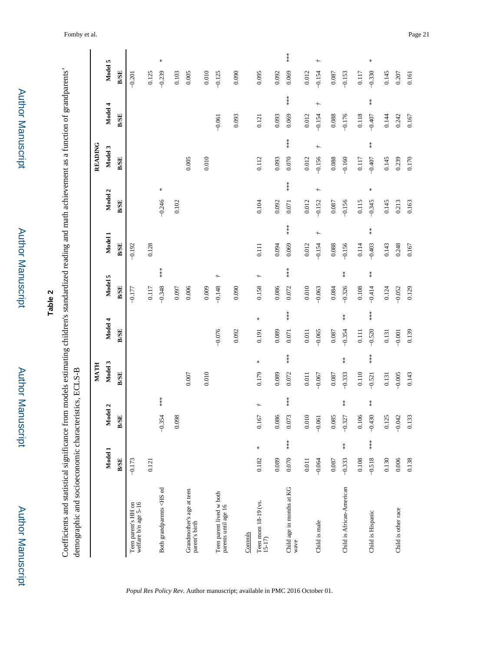# **Table 2**

Coefficients and statistical significance from models estimating children's standardized reading and math achievement as a function of grandparents' Coefficients and statistical significance from models estimating children's standardized reading and math achievement as a function of grandparents' demographic and socioeconomic characteristics, ECLS-B demographic and socioeconomic characteristics, ECLS-B

|                                                                                                                                                                                                                                                                                                                                                    |                 |                 |                 | <b>MATH</b> |     |             |                   |             |     |             |              |             |                      | <b>READING</b>  |          |             |             |         |
|----------------------------------------------------------------------------------------------------------------------------------------------------------------------------------------------------------------------------------------------------------------------------------------------------------------------------------------------------|-----------------|-----------------|-----------------|-------------|-----|-------------|-------------------|-------------|-----|-------------|--------------|-------------|----------------------|-----------------|----------|-------------|-------------|---------|
|                                                                                                                                                                                                                                                                                                                                                    | Model 1         |                 | Model 2         | Model 3     |     | Model 4     |                   | Model 5     |     | Model 1     |              | Model 2     |                      | Model 3         |          | Model 4     |             | Model 5 |
|                                                                                                                                                                                                                                                                                                                                                    | <b>B/SE</b>     |                 | <b>B/SE</b>     | <b>B/SE</b> |     | <b>B/SE</b> |                   | <b>B/SE</b> |     | <b>B/SE</b> |              | <b>B/SE</b> |                      | <b>B/SE</b>     |          | <b>B/SE</b> | <b>B/SE</b> |         |
| welfare b/n age 5-16<br>Teen parent's HH on                                                                                                                                                                                                                                                                                                        | $-0.173$        |                 |                 |             |     |             |                   | $-0.177$    |     | $-0.192$    |              |             |                      |                 |          |             | $-0.201$    |         |
|                                                                                                                                                                                                                                                                                                                                                    | 0.121           |                 |                 |             |     |             |                   | 0.117       |     | 0.128       |              |             |                      |                 |          |             | 0.125       |         |
| Both grandparents <hs ed<="" td=""><td></td><td></td><td>***<br/><math>-0.354</math></td><td></td><td></td><td></td><td></td><td><math>-0.348</math></td><td>***</td><td></td><td></td><td><math>-0.246</math></td><td><math display="inline">\frac{M}{\sqrt{2}}</math></td><td></td><td></td><td></td><td><math>-0.239</math></td><td>∗</td></hs> |                 |                 | ***<br>$-0.354$ |             |     |             |                   | $-0.348$    | *** |             |              | $-0.246$    | $\frac{M}{\sqrt{2}}$ |                 |          |             | $-0.239$    | ∗       |
|                                                                                                                                                                                                                                                                                                                                                    |                 |                 | 0.098           |             |     |             |                   | 0.097       |     |             |              | 0.102       |                      |                 |          |             | 0.103       |         |
| Grandmother's age at teen<br>parent's birth                                                                                                                                                                                                                                                                                                        |                 |                 |                 | 0.007       |     |             |                   | 0.006       |     |             |              |             |                      | 0.005           |          |             | $0.005$     |         |
|                                                                                                                                                                                                                                                                                                                                                    |                 |                 |                 | 0.010       |     |             |                   | 0.009       |     |             |              |             |                      | 0.010           |          |             | $0.010\,$   |         |
| Teen parent lived w both<br>parents until age 16                                                                                                                                                                                                                                                                                                   |                 |                 |                 |             |     | $-0.076$    |                   | $-0.148$    | $+$ |             |              |             |                      |                 | $-0.061$ |             | $-0.125$    |         |
|                                                                                                                                                                                                                                                                                                                                                    |                 |                 |                 |             |     | 0.092       |                   | 0.090       |     |             |              |             |                      |                 | 0.093    |             | 0.090       |         |
| Controls                                                                                                                                                                                                                                                                                                                                           |                 |                 |                 |             |     |             |                   |             |     |             |              |             |                      |                 |          |             |             |         |
| Teen mom $18-19$ (vs.<br>15-17)                                                                                                                                                                                                                                                                                                                    | ₩<br>0.182      |                 | ÷.<br>0.167     | 0.179       | ₩   | 0.191       | ₩                 | 0.158       | ÷.  | 0.111       |              | 0.104       |                      | 0.112           | 0.121    |             | 0.095       |         |
|                                                                                                                                                                                                                                                                                                                                                    | 0.089           |                 | 0.086           | 0.089       |     | 0.089       |                   | 0.086       |     | 0.094       |              | 0.092       |                      | 0.093           | 0.093    |             | 0.092       |         |
| Child age in months at KG<br>wave                                                                                                                                                                                                                                                                                                                  | 0.070           |                 | ***<br>0.073    | 0.072       | *** | 0.071       | ***               | 0.072       | *** | 0.069       |              | 0.071       | ***                  | ***<br>0.070    | 0.069    | ***         | 0.069       | ***     |
|                                                                                                                                                                                                                                                                                                                                                    | 0.011           |                 | 0.010           | 0.011       |     | $0.011\,$   |                   | 0.010       |     | 0.012       |              | 0.012       |                      | 0.012           | 0.012    |             | 0.012       |         |
| Child is male                                                                                                                                                                                                                                                                                                                                      | $-0.064$        |                 | $-0.061$        | $-0.067$    |     | $-0.065$    |                   | $-0.063$    |     | $-0.154$    | $\leftarrow$ | $-0.152$    | ÷.                   | ÷.<br>$-0.156$  | $-0.154$ | ÷,          | $-0.154$    | $+$     |
|                                                                                                                                                                                                                                                                                                                                                    | 0.087           |                 | 0.085           | 0.087       |     | 0.087       |                   | 0.084       |     | 0.088       |              | $0.087\,$   |                      | 0.088           | 0.088    |             | $0.087\,$   |         |
| Child is African-American                                                                                                                                                                                                                                                                                                                          | $*$<br>$-0.333$ |                 | $*$<br>$-0.327$ | $-0.333$    | $*$ | $-0.354$    | $\stackrel{*}{*}$ | $-0.326$    | $*$ | $-0.156$    |              | $-0.156$    |                      | $-0.160$        | $-0.176$ |             | $-0.153$    |         |
|                                                                                                                                                                                                                                                                                                                                                    | 0.108           |                 | 0.106           | $0.110$     |     | $0.111$     |                   | $0.108$     |     | 0.114       |              | 0.115       |                      | 0.117           | 0.118    |             | 0.117       |         |
| Child is Hispanic                                                                                                                                                                                                                                                                                                                                  | $-0.518$        | $-0.430$<br>*** | $*$             | $-0.521$    | *** | $-0.520$    | ***               | $-0.414$    | $*$ | $-0.403$    | $*$          | $-0.345$    | ₩                    | $*$<br>$-0.407$ | $-0.407$ | $*$         | $-0.330$    | ₩       |
|                                                                                                                                                                                                                                                                                                                                                    | 0.130           |                 | 0.125           | 0.131       |     | 0.131       |                   | 0.124       |     | 0.143       |              | 0.145       |                      | 0.145           | 0.144    |             | 0.145       |         |
| Child is other race                                                                                                                                                                                                                                                                                                                                | 0.006           |                 | $-0.042$        | $-0.005$    |     | $-0.001$    |                   | $-0.052$    |     | 0.248       |              | 0.213       |                      | 0.239           | 0.242    |             | 0.207       |         |
|                                                                                                                                                                                                                                                                                                                                                    | 0.138           |                 | 0.133           | 0.143       |     | 0.139       |                   | 0.129       |     | 0.167       |              | 0.163       |                      | 0.170           | 0.167    |             | 0.161       |         |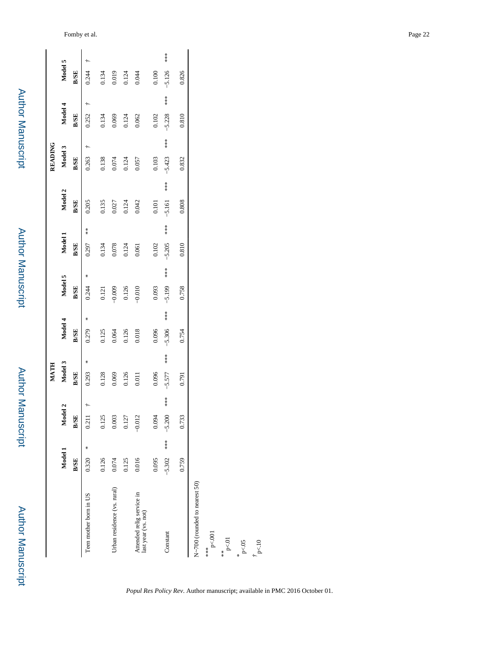|                                                  |                 |                  | <b>HINN</b>     |                  |                 |                 |                 | <b>READING</b>  |                  |                    |
|--------------------------------------------------|-----------------|------------------|-----------------|------------------|-----------------|-----------------|-----------------|-----------------|------------------|--------------------|
|                                                  | Model 1         | Model 2          | Model 3         | Model 4          | Model 5         | Model 1         | Model 2         | Model 3         | Model 4          | Model 5            |
|                                                  | <b>B/SE</b>     | <b>B/SE</b>      | <b>B/SE</b>     | <b>B/SE</b>      | <b>B/SE</b>     | <b>B/SE</b>     | <b>B/SE</b>     | <b>B/SE</b>     | <b>B/SE</b>      | <b>B/SE</b>        |
| Teen mother born in US                           | ⋇<br>0.320      | ÷,<br>0.211      | ×<br>0.293      | *<br>0.279       | *<br>0.244      | $*$<br>0.297    | 0.205           | ÷,<br>0.263     | ÷,<br>0.252      | $\ddot{}$<br>0.244 |
|                                                  | 0.126           | 0.125            | 0.128           | 0.125            | 0.121           | 0.134           | 0.135           | 0.138           | 0.134            | 0.134              |
| Urban residence (vs. rural)                      | 0.074           | 0.003            | 0.069           | 0.064            | $-0.009$        | 0.078           | 0.027           | 0.074           | 0.069            | 0.019              |
|                                                  | 0.125           | 0.127            | 0.126           | 0.126            | 0.126           | 0.124           | 0.124           | 0.124           | 0.124            | 0.124              |
| Attended relig service in<br>last year (vs. not) | 0.016           | $-0.012$         | 0.011           | 0.018            | $-0.010$        | 0.061           | 0.042           | 0.057           | 0.062            | 0.044              |
|                                                  | 0.095           | 0.094            | 0.096           | 0.096            | 0.093           | 0.102           | 0.101           | 0.103           | 0.102            | 0.100              |
| Constant                                         | ***<br>$-5.302$ | ****<br>$-5.200$ | ***<br>$-5.577$ | ****<br>$-5.306$ | ***<br>$-5.199$ | ***<br>$-5.205$ | ***<br>$-5.161$ | ***<br>$-5.423$ | ****<br>$-5.228$ | ***<br>$-5.126$    |
|                                                  | 0.759           | 0.733            | 0.791           | 0.754            | 0.758           | 0.810           | 0.808           | 0.832           | 0.810            | 0.826              |
| N~700 (rounded to nearest 50)                    |                 |                  |                 |                  |                 |                 |                 |                 |                  |                    |
| p<0.001<br>***                                   |                 |                  |                 |                  |                 |                 |                 |                 |                  |                    |
| $_{\rm p<.01}$<br>$*$                            |                 |                  |                 |                  |                 |                 |                 |                 |                  |                    |
| $p<0.5$                                          |                 |                  |                 |                  |                 |                 |                 |                 |                  |                    |

Author Manuscript

Author Manuscript

Author Manuscript

Author Manuscript

Author Manuscript

Author Manuscript

*Popul Res Policy Rev*. Author manuscript; available in PMC 2016 October 01.

 $\frac{1}{p}$ p<.10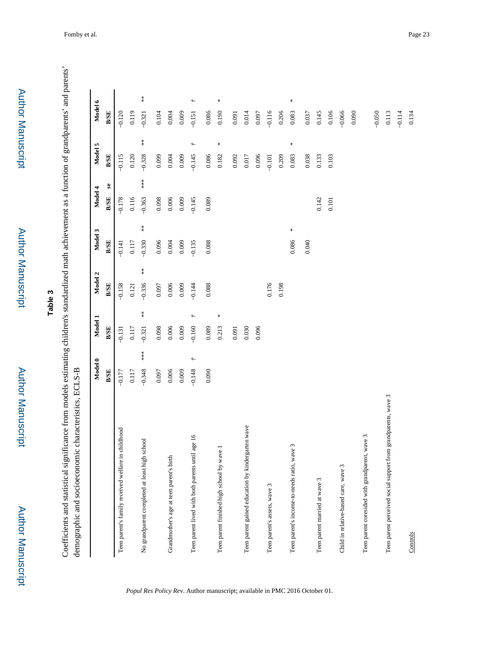## **Table 3**

Coefficients and statistical significance from models estimating children's standardized math achievement as a function of grandparents' and parents' Coefficients and statistical significance from models estimating children's standardized math achievement as a function of grandparents' and parents' demographic and socioeconomic characteristics, ECLS-B demographic and socioeconomic characteristics, ECLS-B

|                                                                | Model 0         | Model 1         | Model 2         | Model 3         | Model 4                               | Model 5         | Model 6     |     |
|----------------------------------------------------------------|-----------------|-----------------|-----------------|-----------------|---------------------------------------|-----------------|-------------|-----|
|                                                                | <b>B/SE</b>     | <b>B/SE</b>     | <b>B/SE</b>     | <b>B/SE</b>     | $\mathbf{s}\mathbf{e}$<br><b>B/SE</b> | <b>B/SE</b>     | <b>B/SE</b> |     |
| Teen parent's family received welfare in childhood             | $-0.177$        | $-0.131$        | $-0.158$        | $-0.141$        | $-0.178$                              | $-0.115$        | $-0.120$    |     |
|                                                                | 0.117           | 0.117           | 0.121           | 0.117           | 0.116                                 | 0.120           | 0.119       |     |
| No grandparent completed at least high school                  | ***<br>$-0.348$ | $*$<br>$-0.321$ | $*$<br>$-0.336$ | $*$<br>$-0.330$ | ***<br>$-0.363$                       | $*$<br>$-0.328$ | $-0.321$    | $*$ |
|                                                                | 0.097           | 0.098           | 0.097           | 0.096           | 0.098                                 | 0.099           | 0.104       |     |
| Grandmother's age at teen parent's birth                       | 0.006           | 0.006           | 0.006           | 0.004           | 0.006                                 | 0.004           | $0.004$     |     |
|                                                                | 0.009           | 0.009           | 0.009           | 0.009           | 0.009                                 | 0.009           | 0.009       |     |
| Teen parent lived with both parents until age 16               | $+$<br>$-0.148$ | ÷<br>$-0.160$   | $-0.144$        | $-0.135$        | $-0.145$                              | ÷<br>$-0.145$   | $-0.151$    | ÷   |
|                                                                | 0.090           | 0.089           | 0.088           | 0.088           | 0.089                                 | 0.086           | 0.086       |     |
| Teen parent finished high school by wave 1                     |                 | ₩<br>0.213      |                 |                 |                                       | ₩<br>0.182      | 0.190       | ∗   |
|                                                                |                 | 0.091           |                 |                 |                                       | 0.092           | 0.091       |     |
| Teen parent gained education by kindergarten wave              |                 | 0.030           |                 |                 |                                       | 0.017           | 0.014       |     |
|                                                                |                 | 0.096           |                 |                 |                                       | 0.096           | 0.097       |     |
| Teen parent's assets, wave 3                                   |                 |                 | 0.176           |                 |                                       | $-0.101$        | $-0.116$    |     |
|                                                                |                 |                 | 0.198           |                 |                                       | 0.209           | 0.206       |     |
| Teen parent's income-to-needs ratio, wave 3                    |                 |                 |                 | ₩<br>0.086      |                                       | ₩<br>0.083      | 0.083       | ₩   |
|                                                                |                 |                 |                 | 0.040           |                                       | 0.038           | 0.037       |     |
| Teen parent married at wave 3                                  |                 |                 |                 |                 | 0.142                                 | 0.133           | 0.145       |     |
|                                                                |                 |                 |                 |                 | 0.101                                 | 0.103           | 0.106       |     |
| ω<br>Child in relative-based care, wave                        |                 |                 |                 |                 |                                       |                 | $-0.066$    |     |
|                                                                |                 |                 |                 |                 |                                       |                 | 0.090       |     |
| Teen parent coresided with grandparent, wave 3                 |                 |                 |                 |                 |                                       |                 |             |     |
|                                                                |                 |                 |                 |                 |                                       |                 | $-0.050$    |     |
| Teen parent perceived social support from grandparents, wave 3 |                 |                 |                 |                 |                                       |                 | $0.113\,$   |     |
|                                                                |                 |                 |                 |                 |                                       |                 | $-0.114$    |     |
| Controls                                                       |                 |                 |                 |                 |                                       |                 | 0.134       |     |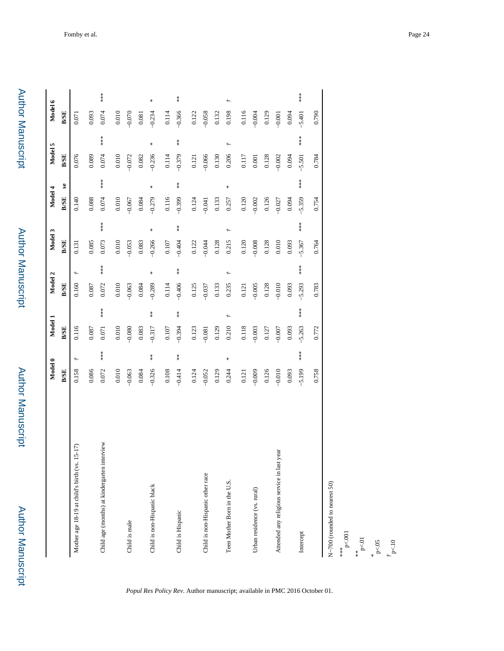Author Manuscript

Author Manuscript

|                                                   | Model 0     |               | Model 1     |       | Model 2     |       | Model 3     |     | Model 4     |     | Model 5     |       | Model 6     |     |
|---------------------------------------------------|-------------|---------------|-------------|-------|-------------|-------|-------------|-----|-------------|-----|-------------|-------|-------------|-----|
|                                                   | <b>B/SE</b> |               | <b>B/SE</b> |       | <b>B/SE</b> |       | <b>B/SE</b> |     | <b>B/SE</b> | Se  | <b>B/SE</b> |       | <b>B/SE</b> |     |
| $-5-17$<br>Mother age 18-19 at child's birth (vs. | 0.158       | ÷.            | 0.116       |       | 0.160       | ÷,    | 0.131       |     | 0.140       |     | 0.076       |       | 0.071       |     |
|                                                   | 0.086       |               | $0.087\,$   |       | $0.087\,$   |       | 0.085       |     | 0.088       |     | 0.089       |       | 0.093       |     |
| Child age (months) at kindergarten interview      | 0.072       | ***           | $0.071\,$   | $***$ | 0.072       | ***   | 0.073       | *** | 0.074       | *** | 0.074       | ***   | 0.074       | *** |
|                                                   | 0.010       |               | 0.010       |       | 0.010       |       | $0.010$     |     | 0.010       |     | 0.010       |       | 0.010       |     |
| Child is male                                     | $-0.063$    |               | $-0.080$    |       | $-0.063$    |       | $-0.053$    |     | $-0.067$    |     | $-0.072$    |       | $-0.070$    |     |
|                                                   | 0.084       |               | 0.083       |       | 0.084       |       | 0.083       |     | $\bf 0.084$ |     | 0.082       |       | 0.081       |     |
| Child is non-Hispanic black                       | $-0.326$    | $\frac{*}{*}$ | $-0.317$    | $*$   | $-0.289$    | ₩     | $-0.266$    | ₩   | $-0.279$    | ₩   | $-0.236$    | ₩     | $-0.234$    | ₩   |
|                                                   | 0.108       |               | $0.107\,$   |       | 0.114       |       | 0.107       |     | 0.116       |     | 0.114       |       | 0.114       |     |
| Child is Hispanic                                 | $-0.414$    | $*$           | $-0.394$    | $*$   | $-0.406$    | $* *$ | $-0.404$    | $*$ | $-0.399$    | $*$ | $-0.379$    | $* *$ | $-0.366$    | $*$ |
|                                                   | 0.124       |               | 0.123       |       | 0.125       |       | 0.122       |     | 0.124       |     | 0.121       |       | 0.122       |     |
| Child is non-Hispanic other race                  | $-0.052$    |               | $-0.081$    |       | $-0.037$    |       | $-0.044$    |     | $-0.041$    |     | $-0.066$    |       | $-0.058$    |     |
|                                                   | 0.129       |               | 0.129       |       | 0.133       |       | 0.128       |     | 0.133       |     | 0.130       |       | 0.132       |     |
| Teen Mother Born in the U.S.                      | 0.244       | ₩             | 0.210       | ÷.    | 0.235       | ÷.    | 0.215       | ÷.  | 0.257       | ₩   | 0.206       | ÷.    | 0.198       | ь   |
|                                                   | 0.121       |               | 0.118       |       | 0.121       |       | 0.120       |     | 0.120       |     | 0.117       |       | 0.116       |     |
| Urban residence (vs. rural)                       | $-0.009$    |               | $-0.003$    |       | $-0.005$    |       | $-0.008$    |     | $-0.002$    |     | $0.001$     |       | $-0.004$    |     |
|                                                   | 0.126       |               | 0.127       |       | 0.128       |       | 0.128       |     | 0.126       |     | 0.128       |       | 0.129       |     |
| Attended any religious service in last year       | $-0.010$    |               | $-0.007$    |       | $-0.010$    |       | 0.010       |     | $-0.027$    |     | $-0.002$    |       | $-0.001$    |     |
|                                                   | 0.093       |               | 0.093       |       | 0.093       |       | 0.093       |     | 0.094       |     | 0.094       |       | 0.094       |     |
| Intercept                                         | $-5.199$    | ***           | $-5.263$    | $***$ | $-5.293$    | ****  | $-5.367$    | *** | $-5.359$    | *** | $-5.501$    | ***   | $-5.401$    | *** |
|                                                   | 0.758       |               | 0.772       |       | 0.783       |       | 0.764       |     | 0.754       |     | 0.784       |       | 0.790       |     |

N~700 (rounded to nearest 50) N~700 (rounded to nearest 50)

*\*\*\** p<.001

*\*\** p<.01 *\** p<.05 *†*p<.10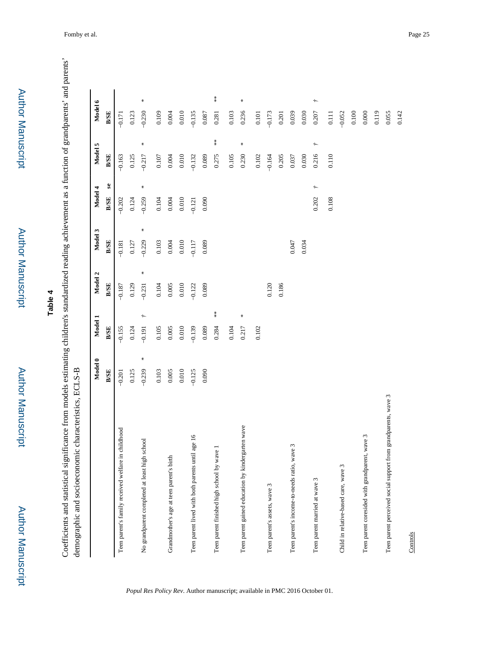# **Table 4**

Coefficients and statistical significance from models estimating children's standardized reading achievement as a function of grandparents' and parents' Coefficients and statistical significance from models estimating children's standardized reading achievement as a function of grandparents' and parents' demographic and socioeconomic characteristics, ECLS-B demographic and socioeconomic characteristics, ECLS-B

|                                                                  | Model 0       | Model 1        | Model 2       | Model 3       | Model 4                     | Model 5                       | Model 6                       |
|------------------------------------------------------------------|---------------|----------------|---------------|---------------|-----------------------------|-------------------------------|-------------------------------|
|                                                                  | <b>B/SE</b>   | <b>B/SE</b>    | <b>B/SE</b>   | <b>B/SE</b>   | $\mathbf{s}$<br><b>B/SE</b> | <b>B/SE</b>                   | <b>B/SE</b>                   |
| Teen parent's family received welfare in childhood               | $-0.201$      | $-0.155$       | $-0.187$      | $-0.181$      | $-0.202$                    | $-0.163$                      | $-0.171$                      |
|                                                                  | 0.125         | 0.124          | 0.129         | 0.127         | 0.124                       | 0.125                         | 0.123                         |
| No grandparent completed at least high school                    | ₩<br>$-0.239$ | ÷,<br>$-0.191$ | ₩<br>$-0.231$ | ₩<br>$-0.229$ | ∗<br>$-0.259$               | ₩<br>$-0.217$                 | ₩<br>$-0.230$                 |
|                                                                  | 0.103         | 0.105          | 0.104         | $0.103\,$     | 0.104                       | $0.107\,$                     | 0.109                         |
| Grandmother's age at teen parent's birth                         | $0.005\,$     | $0.005$        | $0.005\,$     | 0.004         | 0.004                       | 0.004                         | 0.004                         |
|                                                                  | $0.010$       | $0.010\,$      | 0.010         | $0.010\,$     | $0.010\,$                   | $0.010$                       | $0.010\,$                     |
| $\overline{16}$<br>Teen parent lived with both parents until age | $-0.125$      | $-0.139$       | $-0.122$      | $-0.117$      | $-0.121$                    | $-0.132$                      | $-0.135$                      |
|                                                                  | 0.090         | 0.089          | 0.089         | 0.089         | 0.090                       | 0.089                         | 0.087                         |
| Teen parent finished high school by wave 1                       |               | $* *$<br>0.284 |               |               |                             | $\stackrel{*}{\ast}$<br>0.275 | $\stackrel{*}{\ast}$<br>0.281 |
|                                                                  |               | 0.104          |               |               |                             | 0.105                         | 0.103                         |
| Teen parent gained education by kindergarten wave                |               | ₩<br>0.217     |               |               |                             | ₩<br>0.230                    | ×<br>0.236                    |
|                                                                  |               | 0.102          |               |               |                             | 0.102                         | $0.101\,$                     |
| 3<br>Teen parent's assets, wave                                  |               |                | 0.120         |               |                             | $-0.164$                      | $-0.173$                      |
|                                                                  |               |                | 0.186         |               |                             | 0.205                         | 0.201                         |
| Teen parent's income-to-needs ratio, wave 3                      |               |                |               | 0.047         |                             | 0.037                         | 0.039                         |
|                                                                  |               |                |               | 0.034         |                             | 0.030                         | 0.030                         |
| Teen parent married at wave 3                                    |               |                |               |               | $+$<br>0.202                | ÷<br>0.216                    | ÷<br>0.207                    |
|                                                                  |               |                |               |               | 0.108                       | 0.110                         | $0.111$                       |
| Child in relative-based care, wave 3                             |               |                |               |               |                             |                               | $-0.052$                      |
|                                                                  |               |                |               |               |                             |                               | $0.100\,$                     |
| 3<br>Teen parent coresided with grandparent, wave                |               |                |               |               |                             |                               | $0.000\,$                     |
|                                                                  |               |                |               |               |                             |                               | 0.119                         |
| Teen parent perceived social support from grandparents, wave 3   |               |                |               |               |                             |                               | 0.055                         |
|                                                                  |               |                |               |               |                             |                               | 0.142                         |